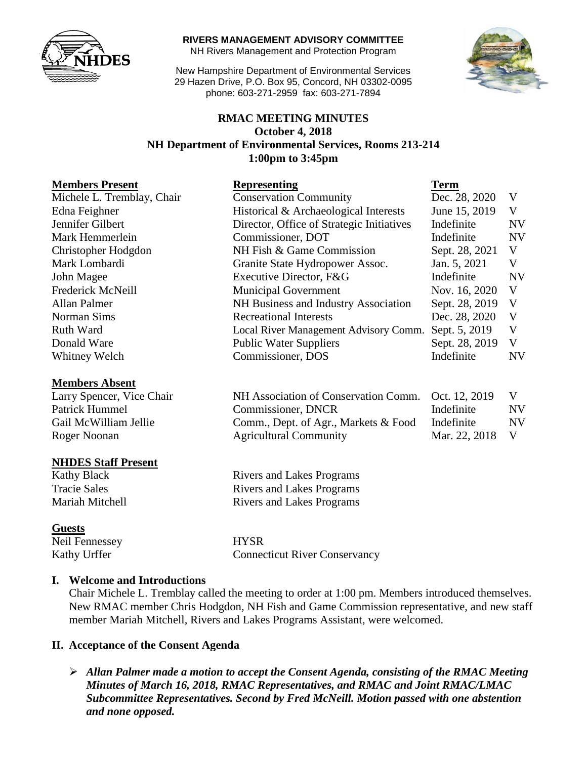

#### **RIVERS MANAGEMENT ADVISORY COMMITTEE**

NH Rivers Management and Protection Program

New Hampshire Department of Environmental Services 29 Hazen Drive, P.O. Box 95, Concord, NH 03302-0095 phone: 603-271-2959 fax: 603-271-7894



## **RMAC MEETING MINUTES October 4, 2018 NH Department of Environmental Services, Rooms 213-214 1:00pm to 3:45pm**

#### **Members Absent**

Larry Spencer, Vice Chair Patrick Hummel Gail McWilliam Jellie Roger Noonan

#### **NHDES Staff Present**

#### **Guests**

Neil Fennessey HYSR Kathy Urffer Connecticut River Conservancy

#### **I. Welcome and Introductions**

Chair Michele L. Tremblay called the meeting to order at 1:00 pm. Members introduced themselves. New RMAC member Chris Hodgdon, NH Fish and Game Commission representative, and new staff member Mariah Mitchell, Rivers and Lakes Programs Assistant, were welcomed.

#### **II. Acceptance of the Consent Agenda**

 *Allan Palmer made a motion to accept the Consent Agenda, consisting of the RMAC Meeting Minutes of March 16, 2018, RMAC Representatives, and RMAC and Joint RMAC/LMAC Subcommittee Representatives. Second by Fred McNeill. Motion passed with one abstention and none opposed.* 

| <b>Representing</b>                       | <b>Term</b>    |           |
|-------------------------------------------|----------------|-----------|
| <b>Conservation Community</b>             | Dec. 28, 2020  | V         |
| Historical & Archaeological Interests     | June 15, 2019  | V         |
| Director, Office of Strategic Initiatives | Indefinite     | <b>NV</b> |
| Commissioner, DOT                         | Indefinite     | <b>NV</b> |
| NH Fish & Game Commission                 | Sept. 28, 2021 | V         |
| Granite State Hydropower Assoc.           | Jan. 5, 2021   | V         |
| Executive Director, F&G                   | Indefinite     | <b>NV</b> |
| <b>Municipal Government</b>               | Nov. 16, 2020  | V         |
| NH Business and Industry Association      | Sept. 28, 2019 | V         |
| <b>Recreational Interests</b>             | Dec. 28, 2020  | V         |
| Local River Management Advisory Comm.     | Sept. 5, 2019  | V         |
| <b>Public Water Suppliers</b>             | Sept. 28, 2019 | V         |
| Commissioner, DOS                         | Indefinite     | NV        |
|                                           |                |           |

| NH Association of Conservation Comm. Oct. 12, 2019 |               | V         |
|----------------------------------------------------|---------------|-----------|
| Commissioner, DNCR                                 | Indefinite    | <b>NV</b> |
| Comm., Dept. of Agr., Markets & Food               | Indefinite    | NV        |
| <b>Agricultural Community</b>                      | Mar. 22, 2018 | V         |

Kathy Black Rivers and Lakes Programs Tracie Sales **Rivers** and Lakes Programs Mariah Mitchell Rivers and Lakes Programs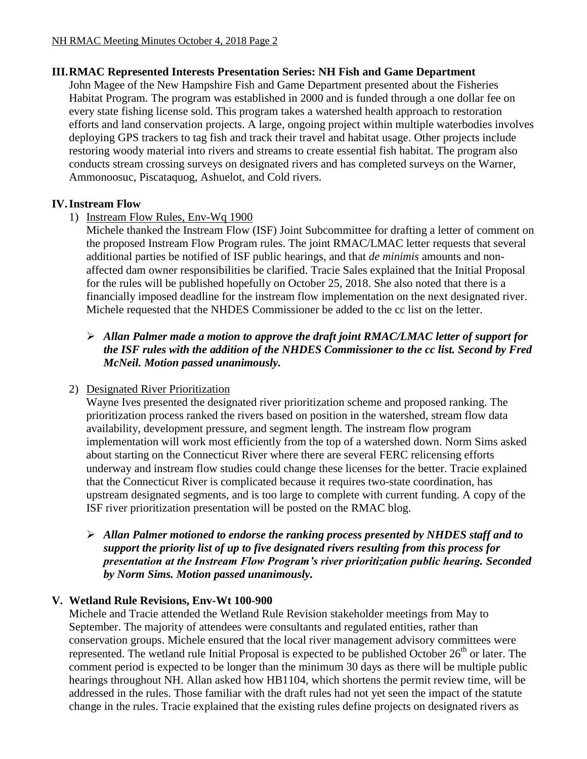## **III.RMAC Represented Interests Presentation Series: NH Fish and Game Department**

John Magee of the New Hampshire Fish and Game Department presented about the Fisheries Habitat Program. The program was established in 2000 and is funded through a one dollar fee on every state fishing license sold. This program takes a watershed health approach to restoration efforts and land conservation projects. A large, ongoing project within multiple waterbodies involves deploying GPS trackers to tag fish and track their travel and habitat usage. Other projects include restoring woody material into rivers and streams to create essential fish habitat. The program also conducts stream crossing surveys on designated rivers and has completed surveys on the Warner, Ammonoosuc, Piscataquog, Ashuelot, and Cold rivers.

## **IV.Instream Flow**

## 1) Instream Flow Rules, Env-Wq 1900

Michele thanked the Instream Flow (ISF) Joint Subcommittee for drafting a letter of comment on the proposed Instream Flow Program rules. The joint RMAC/LMAC letter requests that several additional parties be notified of ISF public hearings, and that *de minimis* amounts and nonaffected dam owner responsibilities be clarified. Tracie Sales explained that the Initial Proposal for the rules will be published hopefully on October 25, 2018. She also noted that there is a financially imposed deadline for the instream flow implementation on the next designated river. Michele requested that the NHDES Commissioner be added to the cc list on the letter.

## *Allan Palmer made a motion to approve the draft joint RMAC/LMAC letter of support for the ISF rules with the addition of the NHDES Commissioner to the cc list. Second by Fred McNeil. Motion passed unanimously.*

# 2) Designated River Prioritization

Wayne Ives presented the designated river prioritization scheme and proposed ranking. The prioritization process ranked the rivers based on position in the watershed, stream flow data availability, development pressure, and segment length. The instream flow program implementation will work most efficiently from the top of a watershed down. Norm Sims asked about starting on the Connecticut River where there are several FERC relicensing efforts underway and instream flow studies could change these licenses for the better. Tracie explained that the Connecticut River is complicated because it requires two-state coordination, has upstream designated segments, and is too large to complete with current funding. A copy of the ISF river prioritization presentation will be posted on the RMAC blog.

 *Allan Palmer motioned to endorse the ranking process presented by NHDES staff and to support the priority list of up to five designated rivers resulting from this process for presentation at the Instream Flow Program's river prioritization public hearing. Seconded by Norm Sims. Motion passed unanimously.* 

# **V. Wetland Rule Revisions, Env-Wt 100-900**

Michele and Tracie attended the Wetland Rule Revision stakeholder meetings from May to September. The majority of attendees were consultants and regulated entities, rather than conservation groups. Michele ensured that the local river management advisory committees were represented. The wetland rule Initial Proposal is expected to be published October  $26<sup>th</sup>$  or later. The comment period is expected to be longer than the minimum 30 days as there will be multiple public hearings throughout NH. Allan asked how HB1104, which shortens the permit review time, will be addressed in the rules. Those familiar with the draft rules had not yet seen the impact of the statute change in the rules. Tracie explained that the existing rules define projects on designated rivers as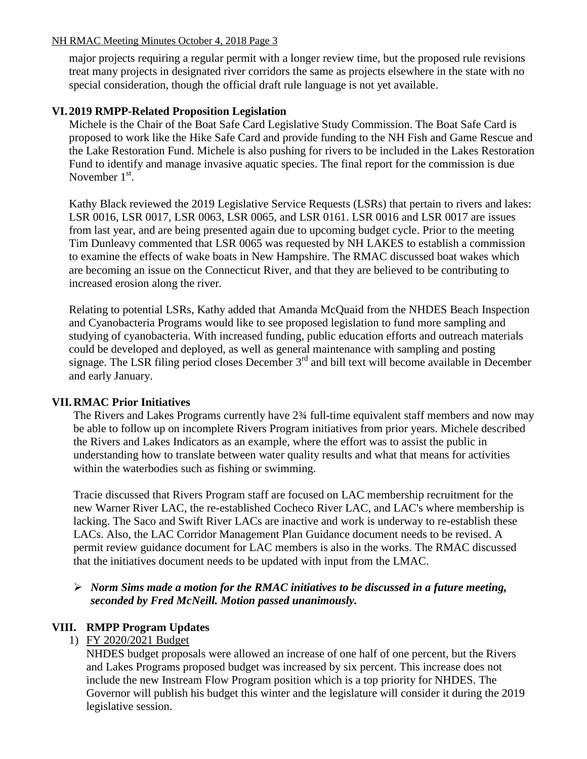#### NH RMAC Meeting Minutes October 4, 2018 Page 3

major projects requiring a regular permit with a longer review time, but the proposed rule revisions treat many projects in designated river corridors the same as projects elsewhere in the state with no special consideration, though the official draft rule language is not yet available.

## **VI. 2019 RMPP-Related Proposition Legislation**

Michele is the Chair of the Boat Safe Card Legislative Study Commission. The Boat Safe Card is proposed to work like the Hike Safe Card and provide funding to the NH Fish and Game Rescue and the Lake Restoration Fund. Michele is also pushing for rivers to be included in the Lakes Restoration Fund to identify and manage invasive aquatic species. The final report for the commission is due November  $1<sup>st</sup>$ .

Kathy Black reviewed the 2019 Legislative Service Requests (LSRs) that pertain to rivers and lakes: LSR 0016, LSR 0017, LSR 0063, LSR 0065, and LSR 0161. LSR 0016 and LSR 0017 are issues from last year, and are being presented again due to upcoming budget cycle. Prior to the meeting Tim Dunleavy commented that LSR 0065 was requested by NH LAKES to establish a commission to examine the effects of wake boats in New Hampshire. The RMAC discussed boat wakes which are becoming an issue on the Connecticut River, and that they are believed to be contributing to increased erosion along the river.

Relating to potential LSRs, Kathy added that Amanda McQuaid from the NHDES Beach Inspection and Cyanobacteria Programs would like to see proposed legislation to fund more sampling and studying of cyanobacteria. With increased funding, public education efforts and outreach materials could be developed and deployed, as well as general maintenance with sampling and posting signage. The LSR filing period closes December 3<sup>rd</sup> and bill text will become available in December and early January.

#### **VII.RMAC Prior Initiatives**

The Rivers and Lakes Programs currently have 2¾ full-time equivalent staff members and now may be able to follow up on incomplete Rivers Program initiatives from prior years. Michele described the Rivers and Lakes Indicators as an example, where the effort was to assist the public in understanding how to translate between water quality results and what that means for activities within the waterbodies such as fishing or swimming.

Tracie discussed that Rivers Program staff are focused on LAC membership recruitment for the new Warner River LAC, the re-established Cocheco River LAC, and LAC's where membership is lacking. The Saco and Swift River LACs are inactive and work is underway to re-establish these LACs. Also, the LAC Corridor Management Plan Guidance document needs to be revised. A permit review guidance document for LAC members is also in the works. The RMAC discussed that the initiatives document needs to be updated with input from the LMAC.

## *Norm Sims made a motion for the RMAC initiatives to be discussed in a future meeting, seconded by Fred McNeill. Motion passed unanimously.*

## **VIII. RMPP Program Updates**

1) FY 2020/2021 Budget

NHDES budget proposals were allowed an increase of one half of one percent, but the Rivers and Lakes Programs proposed budget was increased by six percent. This increase does not include the new Instream Flow Program position which is a top priority for NHDES. The Governor will publish his budget this winter and the legislature will consider it during the 2019 legislative session.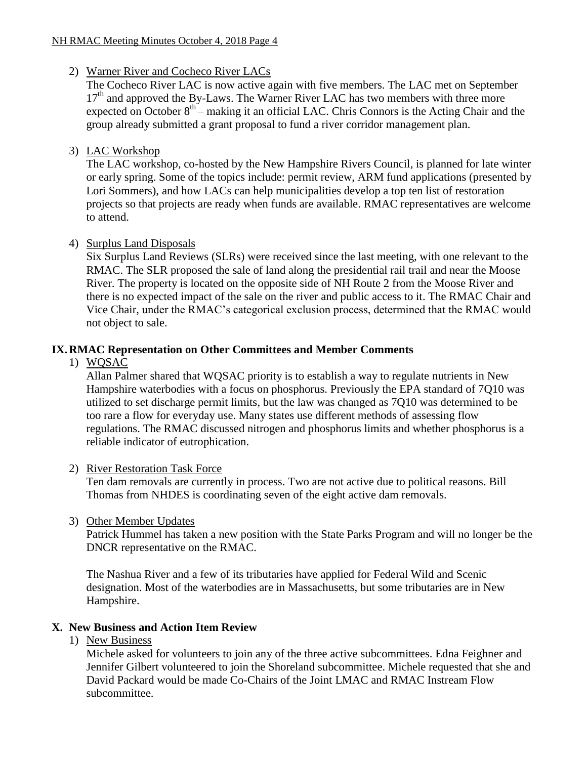## 2) Warner River and Cocheco River LACs

The Cocheco River LAC is now active again with five members. The LAC met on September  $17<sup>th</sup>$  and approved the By-Laws. The Warner River LAC has two members with three more expected on October  $8<sup>th</sup>$  – making it an official LAC. Chris Connors is the Acting Chair and the group already submitted a grant proposal to fund a river corridor management plan.

## 3) LAC Workshop

The LAC workshop, co-hosted by the New Hampshire Rivers Council, is planned for late winter or early spring. Some of the topics include: permit review, ARM fund applications (presented by Lori Sommers), and how LACs can help municipalities develop a top ten list of restoration projects so that projects are ready when funds are available. RMAC representatives are welcome to attend.

## 4) Surplus Land Disposals

Six Surplus Land Reviews (SLRs) were received since the last meeting, with one relevant to the RMAC. The SLR proposed the sale of land along the presidential rail trail and near the Moose River. The property is located on the opposite side of NH Route 2 from the Moose River and there is no expected impact of the sale on the river and public access to it. The RMAC Chair and Vice Chair, under the RMAC's categorical exclusion process, determined that the RMAC would not object to sale.

# **IX.RMAC Representation on Other Committees and Member Comments**

## 1) WQSAC

Allan Palmer shared that WQSAC priority is to establish a way to regulate nutrients in New Hampshire waterbodies with a focus on phosphorus. Previously the EPA standard of 7Q10 was utilized to set discharge permit limits, but the law was changed as 7Q10 was determined to be too rare a flow for everyday use. Many states use different methods of assessing flow regulations. The RMAC discussed nitrogen and phosphorus limits and whether phosphorus is a reliable indicator of eutrophication.

## 2) River Restoration Task Force

Ten dam removals are currently in process. Two are not active due to political reasons. Bill Thomas from NHDES is coordinating seven of the eight active dam removals.

3) Other Member Updates

Patrick Hummel has taken a new position with the State Parks Program and will no longer be the DNCR representative on the RMAC.

The Nashua River and a few of its tributaries have applied for Federal Wild and Scenic designation. Most of the waterbodies are in Massachusetts, but some tributaries are in New Hampshire.

## **X. New Business and Action Item Review**

## 1) New Business

Michele asked for volunteers to join any of the three active subcommittees. Edna Feighner and Jennifer Gilbert volunteered to join the Shoreland subcommittee. Michele requested that she and David Packard would be made Co-Chairs of the Joint LMAC and RMAC Instream Flow subcommittee.